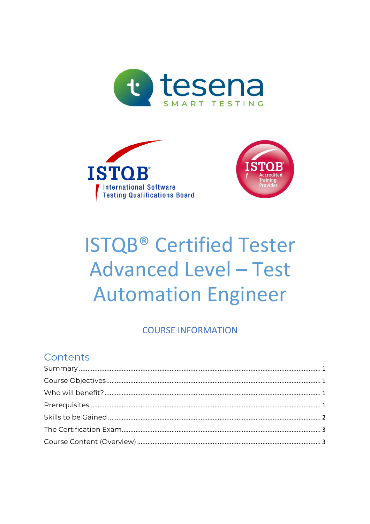





# **ISTQB® Certified Tester Advanced Level - Test Automation Engineer**

### **COURSE INFORMATION**

# Contents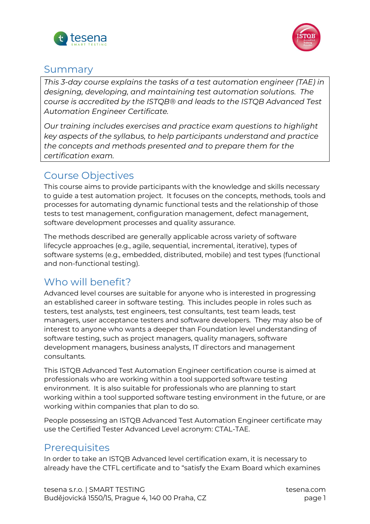



### <span id="page-1-0"></span>Summary

*This 3-day course explains the tasks of a test automation engineer (TAE) in designing, developing, and maintaining test automation solutions. The course is accredited by the ISTQB® and leads to the ISTQB Advanced Test Automation Engineer Certificate.*

*Our training includes exercises and practice exam questions to highlight key aspects of the syllabus, to help participants understand and practice the concepts and methods presented and to prepare them for the certification exam.*

### <span id="page-1-1"></span>Course Objectives

This course aims to provide participants with the knowledge and skills necessary to guide a test automation project. It focuses on the concepts, methods, tools and processes for automating dynamic functional tests and the relationship of those tests to test management, configuration management, defect management, software development processes and quality assurance.

The methods described are generally applicable across variety of software lifecycle approaches (e.g., agile, sequential, incremental, iterative), types of software systems (e.g., embedded, distributed, mobile) and test types (functional and non-functional testing).

# <span id="page-1-2"></span>Who will benefit?

Advanced level courses are suitable for anyone who is interested in progressing an established career in software testing. This includes people in roles such as testers, test analysts, test engineers, test consultants, test team leads, test managers, user acceptance testers and software developers. They may also be of interest to anyone who wants a deeper than Foundation level understanding of software testing, such as project managers, quality managers, software development managers, business analysts, IT directors and management consultants.

This ISTQB Advanced Test Automation Engineer certification course is aimed at professionals who are working within a tool supported software testing environment. It is also suitable for professionals who are planning to start working within a tool supported software testing environment in the future, or are working within companies that plan to do so.

People possessing an ISTQB Advanced Test Automation Engineer certificate may use the Certified Tester Advanced Level acronym: CTAL-TAE.

### <span id="page-1-3"></span>**Prerequisites**

In order to take an ISTQB Advanced level certification exam, it is necessary to already have the CTFL certificate and to "satisfy the Exam Board which examines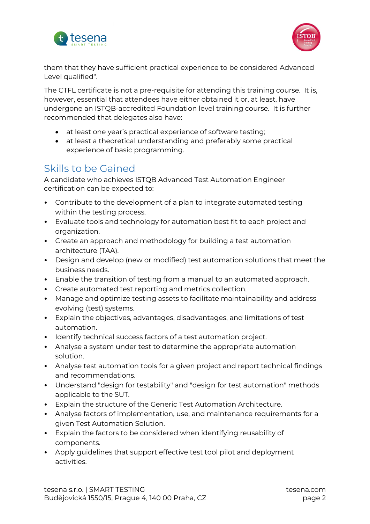



them that they have sufficient practical experience to be considered Advanced Level qualified".

The CTFL certificate is not a pre-requisite for attending this training course. It is, however, essential that attendees have either obtained it or, at least, have undergone an ISTQB-accredited Foundation level training course. It is further recommended that delegates also have:

- at least one year's practical experience of software testing;
- at least a theoretical understanding and preferably some practical experience of basic programming.

# <span id="page-2-0"></span>Skills to be Gained

A candidate who achieves ISTQB Advanced Test Automation Engineer certification can be expected to:

- Contribute to the development of a plan to integrate automated testing within the testing process.
- Evaluate tools and technology for automation best fit to each project and organization.
- Create an approach and methodology for building a test automation architecture (TAA).
- Design and develop (new or modified) test automation solutions that meet the business needs.
- Enable the transition of testing from a manual to an automated approach.
- Create automated test reporting and metrics collection.
- Manage and optimize testing assets to facilitate maintainability and address evolving (test) systems.
- Explain the objectives, advantages, disadvantages, and limitations of test automation.
- Identify technical success factors of a test automation project.
- Analyse a system under test to determine the appropriate automation solution.
- Analyse test automation tools for a given project and report technical findings and recommendations.
- Understand "design for testability" and "design for test automation" methods applicable to the SUT.
- Explain the structure of the Generic Test Automation Architecture.
- Analyse factors of implementation, use, and maintenance requirements for a given Test Automation Solution.
- Explain the factors to be considered when identifying reusability of components.
- Apply guidelines that support effective test tool pilot and deployment activities.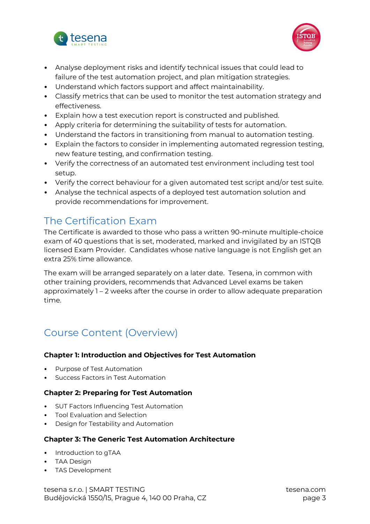



- Analyse deployment risks and identify technical issues that could lead to failure of the test automation project, and plan mitigation strategies.
- Understand which factors support and affect maintainability.
- Classify metrics that can be used to monitor the test automation strategy and effectiveness.
- Explain how a test execution report is constructed and published.
- Apply criteria for determining the suitability of tests for automation.
- Understand the factors in transitioning from manual to automation testing.
- Explain the factors to consider in implementing automated regression testing, new feature testing, and confirmation testing.
- Verify the correctness of an automated test environment including test tool setup.
- Verify the correct behaviour for a given automated test script and/or test suite.
- Analyse the technical aspects of a deployed test automation solution and provide recommendations for improvement.

### <span id="page-3-0"></span>The Certification Exam

The Certificate is awarded to those who pass a written 90-minute multiple-choice exam of 40 questions that is set, moderated, marked and invigilated by an ISTQB licensed Exam Provider. Candidates whose native language is not English get an extra 25% time allowance.

The exam will be arranged separately on a later date. Tesena, in common with other training providers, recommends that Advanced Level exams be taken approximately 1 – 2 weeks after the course in order to allow adequate preparation time.

# <span id="page-3-1"></span>Course Content (Overview)

### **Chapter 1: Introduction and Objectives for Test Automation**

- Purpose of Test Automation
- Success Factors in Test Automation

### **Chapter 2: Preparing for Test Automation**

- SUT Factors Influencing Test Automation
- Tool Evaluation and Selection
- Design for Testability and Automation

### **Chapter 3: The Generic Test Automation Architecture**

- Introduction to gTAA
- TAA Design
- TAS Development